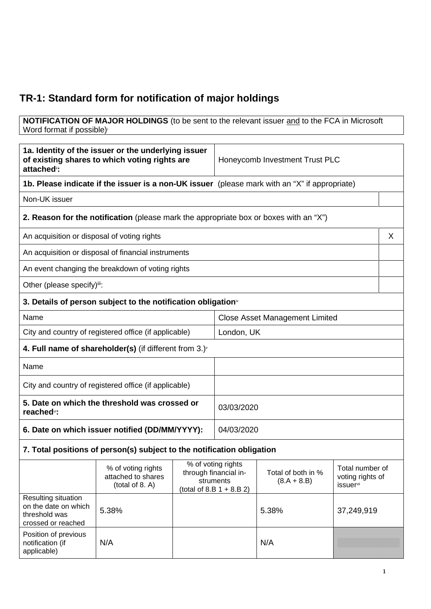## **TR-1: Standard form for notification of major holdings**

**NOTIFICATION OF MAJOR HOLDINGS** (to be sent to the relevant issuer and to the FCA in Microsoft Word format if possible)

| 1a. Identity of the issuer or the underlying issuer<br>of existing shares to which voting rights are<br>attached <sup>®</sup> : |                                                                                       | Honeycomb Investment Trust PLC                                                                                                                                               |                                       |                                     |            |  |
|---------------------------------------------------------------------------------------------------------------------------------|---------------------------------------------------------------------------------------|------------------------------------------------------------------------------------------------------------------------------------------------------------------------------|---------------------------------------|-------------------------------------|------------|--|
| 1b. Please indicate if the issuer is a non-UK issuer (please mark with an "X" if appropriate)                                   |                                                                                       |                                                                                                                                                                              |                                       |                                     |            |  |
| Non-UK issuer                                                                                                                   |                                                                                       |                                                                                                                                                                              |                                       |                                     |            |  |
|                                                                                                                                 | 2. Reason for the notification (please mark the appropriate box or boxes with an "X") |                                                                                                                                                                              |                                       |                                     |            |  |
| An acquisition or disposal of voting rights                                                                                     |                                                                                       |                                                                                                                                                                              |                                       |                                     | X          |  |
|                                                                                                                                 | An acquisition or disposal of financial instruments                                   |                                                                                                                                                                              |                                       |                                     |            |  |
|                                                                                                                                 | An event changing the breakdown of voting rights                                      |                                                                                                                                                                              |                                       |                                     |            |  |
| Other (please specify)ii:                                                                                                       |                                                                                       |                                                                                                                                                                              |                                       |                                     |            |  |
|                                                                                                                                 | 3. Details of person subject to the notification obligation $\mathbf{v}$              |                                                                                                                                                                              |                                       |                                     |            |  |
| Name                                                                                                                            |                                                                                       |                                                                                                                                                                              | <b>Close Asset Management Limited</b> |                                     |            |  |
| City and country of registered office (if applicable)                                                                           |                                                                                       | London, UK                                                                                                                                                                   |                                       |                                     |            |  |
|                                                                                                                                 | 4. Full name of shareholder(s) (if different from 3.) $\check{ }$                     |                                                                                                                                                                              |                                       |                                     |            |  |
| Name                                                                                                                            |                                                                                       |                                                                                                                                                                              |                                       |                                     |            |  |
| City and country of registered office (if applicable)                                                                           |                                                                                       |                                                                                                                                                                              |                                       |                                     |            |  |
| 5. Date on which the threshold was crossed or<br>reached <sup>vi</sup> :                                                        |                                                                                       | 03/03/2020                                                                                                                                                                   |                                       |                                     |            |  |
| 6. Date on which issuer notified (DD/MM/YYYY):                                                                                  |                                                                                       | 04/03/2020                                                                                                                                                                   |                                       |                                     |            |  |
| 7. Total positions of person(s) subject to the notification obligation                                                          |                                                                                       |                                                                                                                                                                              |                                       |                                     |            |  |
|                                                                                                                                 | % of voting rights<br>attached to shares<br>(total of 8. A)                           | $\overline{\%}$ of voting rights<br>through financial in-<br>Total of both in %<br>$(8.A + 8.B)$<br>struments<br><i>issuer</i> <sup>vii</sup><br>(total of 8.B $1 + 8.B 2$ ) |                                       | Total number of<br>voting rights of |            |  |
| Resulting situation<br>on the date on which<br>threshold was<br>crossed or reached                                              | 5.38%                                                                                 |                                                                                                                                                                              |                                       | 5.38%                               | 37,249,919 |  |
| Position of previous<br>notification (if<br>applicable)                                                                         | N/A                                                                                   |                                                                                                                                                                              |                                       | N/A                                 |            |  |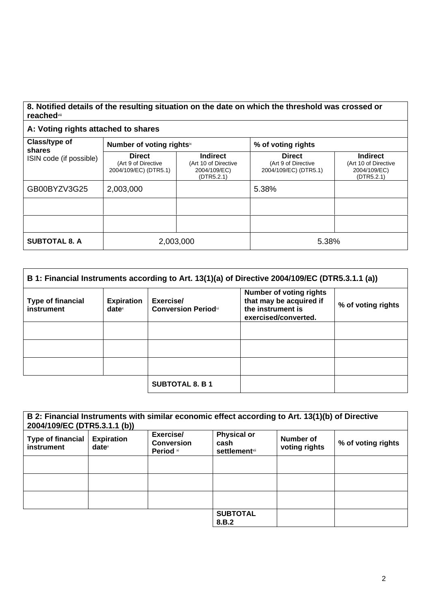## **8. Notified details of the resulting situation on the date on which the threshold was crossed or reached**viii

## **A: Voting rights attached to shares**

| Class/type of                     | Number of voting rightsix                                     |                                                                       | % of voting rights                                            |                                                                       |
|-----------------------------------|---------------------------------------------------------------|-----------------------------------------------------------------------|---------------------------------------------------------------|-----------------------------------------------------------------------|
| shares<br>ISIN code (if possible) | <b>Direct</b><br>(Art 9 of Directive<br>2004/109/EC) (DTR5.1) | <b>Indirect</b><br>(Art 10 of Directive<br>2004/109/EC)<br>(DTR5.2.1) | <b>Direct</b><br>(Art 9 of Directive<br>2004/109/EC) (DTR5.1) | <b>Indirect</b><br>(Art 10 of Directive<br>2004/109/EC)<br>(DTR5.2.1) |
| GB00BYZV3G25                      | 2,003,000                                                     |                                                                       | 5.38%                                                         |                                                                       |
|                                   |                                                               |                                                                       |                                                               |                                                                       |
|                                   |                                                               |                                                                       |                                                               |                                                                       |
| <b>SUBTOTAL 8. A</b>              | 2,003,000                                                     |                                                                       | 5.38%                                                         |                                                                       |

| B 1: Financial Instruments according to Art. 13(1)(a) of Directive 2004/109/EC (DTR5.3.1.1 (a)) |                                      |                                         |                                                                                                        |                    |
|-------------------------------------------------------------------------------------------------|--------------------------------------|-----------------------------------------|--------------------------------------------------------------------------------------------------------|--------------------|
| <b>Type of financial</b><br>instrument                                                          | <b>Expiration</b><br>$date^{\times}$ | Exercise/<br><b>Conversion Periodxi</b> | <b>Number of voting rights</b><br>that may be acquired if<br>the instrument is<br>exercised/converted. | % of voting rights |
|                                                                                                 |                                      |                                         |                                                                                                        |                    |
|                                                                                                 |                                      |                                         |                                                                                                        |                    |
|                                                                                                 |                                      |                                         |                                                                                                        |                    |
|                                                                                                 |                                      | <b>SUBTOTAL 8. B 1</b>                  |                                                                                                        |                    |

| B 2: Financial Instruments with similar economic effect according to Art. 13(1)(b) of Directive<br>2004/109/EC (DTR5.3.1.1 (b)) |                                        |                                             |                                                     |                            |                    |
|---------------------------------------------------------------------------------------------------------------------------------|----------------------------------------|---------------------------------------------|-----------------------------------------------------|----------------------------|--------------------|
| <b>Type of financial</b><br>instrument                                                                                          | <b>Expiration</b><br>date <sup>x</sup> | Exercise/<br><b>Conversion</b><br>Period xi | <b>Physical or</b><br>cash<br><b>settlement</b> xii | Number of<br>voting rights | % of voting rights |
|                                                                                                                                 |                                        |                                             |                                                     |                            |                    |
|                                                                                                                                 |                                        |                                             |                                                     |                            |                    |
|                                                                                                                                 |                                        |                                             |                                                     |                            |                    |
|                                                                                                                                 |                                        |                                             | <b>SUBTOTAL</b><br>8.B.2                            |                            |                    |